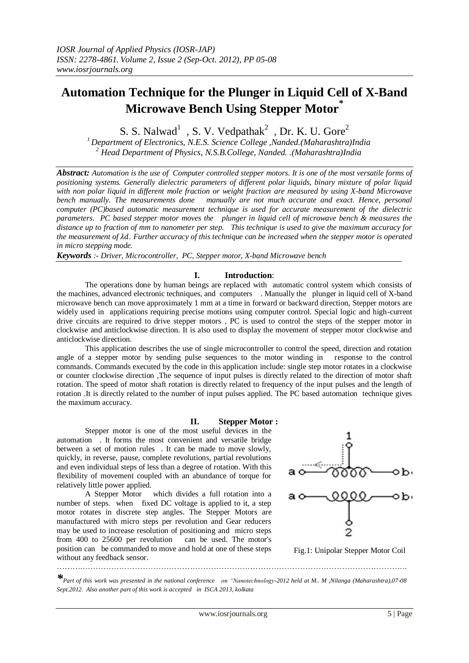# **Automation Technique for the Plunger in Liquid Cell of X-Band Microwave Bench Using Stepper Motor\***

S. S. Nalwad<sup>1</sup>, S. V. Vedpathak<sup>2</sup>, Dr. K. U. Gore<sup>2</sup>

*<sup>1</sup>Department of Electronics, N.E.S. Science College ,Nanded.(Maharashtra)India <sup>2</sup> Head Department of Physics, N.S.B.College, Nanded. .(Maharashtra)India*

*Abstract: Automation is the use of Computer controlled stepper motors. It is one of the most versatile forms of positioning systems. Generally dielectric parameters of different polar liquids, binary mixture of polar liquid with non polar liquid in different mole fraction or weight fraction are measured by using X-band Microwave bench manually. The measurements done manually are not much accurate and exact. Hence, personal computer (PC)based automatic measurement technique is used for accurate measurement of the dielectric parameters. PC based stepper motor moves the plunger in liquid cell of microwave bench & measures the distance up to fraction of mm to nanometer per step. This technique is used to give the maximum accuracy for the measurement of . Further accuracy of this technique can be increased when the stepper motor is operated in micro stepping mode.*

*Keywords :- Driver, Microcontroller, PC, Stepper motor, X-band Microwave bench*

### **I. Introduction**:

The operations done by human beings are replaced with automatic control system which consists of the machines, advanced electronic techniques, and computers . Manually the plunger in liquid cell of X-band microwave bench can move approximately 1 mm at a time in forward or backward direction, Stepper motors are widely used in applications requiring precise motions using computer control. Special logic and high-current drive circuits are required to drive stepper motors , PC is used to control the steps of the stepper motor in clockwise and anticlockwise direction. It is also used to display the movement of stepper motor clockwise and anticlockwise direction.

This application describes the use of single microcontroller to control the speed, direction and rotation angle of a stepper motor by sending pulse sequences to the motor winding in response to the control commands. Commands executed by the code in this application include: single step motor rotates in a clockwise or counter clockwise direction ,The sequence of input pulses is directly related to the direction of motor shaft rotation. The speed of motor shaft rotation is directly related to frequency of the input pulses and the length of rotation .It is directly related to the number of input pulses applied. The PC based automation technique gives the maximum accuracy.

### **II. Stepper Motor :**

Stepper motor is one of the most useful devices in the automation . It forms the most convenient and versatile bridge between a set of motion rules . It can be made to move slowly, quickly, in reverse, pause, complete revolutions, partial revolutions and even individual steps of less than a degree of rotation. With this flexibility of movement coupled with an abundance of torque for relatively little power applied.

A Stepper Motor which divides a full rotation into a number of steps. when fixed DC voltage is applied to it, a step motor rotates in discrete step angles. The Stepper Motors are manufactured with micro steps per revolution and Gear reducers may be used to increase resolution of positioning and micro steps from 400 to 25600 per revolution can be used. The motor's position can be commanded to move and hold at one of these steps without any feedback sensor. ……….…………………………………………………………………………………………………………….



Fig.1: Unipolar Stepper Motor Coil

*\*Part of this work was presented in the national conference on "Nanotechnology-2012 held at M.. M ,Nilanga (Maharashtra),07-08 Sept.2012. Also another part of this work is accepted in ISCA 2013, kolkata*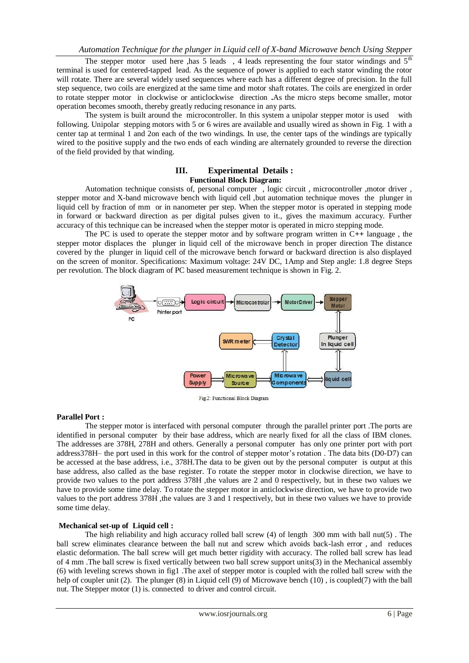The stepper motor used here ,has 5 leads , 4 leads representing the four stator windings and  $5<sup>th</sup>$ terminal is used for centered-tapped lead. As the sequence of power is applied to each stator winding the rotor will rotate. There are several widely used sequences where each has a different degree of precision. In the full step sequence, two coils are energized at the same time and motor shaft rotates. The coils are energized in order to rotate stepper motor in clockwise or anticlockwise direction **.**As the micro steps become smaller, motor operation becomes smooth, thereby greatly reducing resonance in any parts.

The system is built around the microcontroller. In this system a unipolar stepper motor is used with following. Unipolar stepping motors with 5 or 6 wires are available and usually wired as shown in Fig. 1 with a center tap at terminal 1 and 2on each of the two windings. In use, the center taps of the windings are typically wired to the positive supply and the two ends of each winding are alternately grounded to reverse the direction of the field provided by that winding.

### **III. Experimental Details : Functional Block Diagram:**

Automation technique consists of, personal computer, logic circuit, microcontroller, motor driver, stepper motor and X-band microwave bench with liquid cell ,but automation technique moves the plunger in liquid cell by fraction of mm or in nanometer per step. When the stepper motor is operated in stepping mode in forward or backward direction as per digital pulses given to it., gives the maximum accuracy. Further accuracy of this technique can be increased when the stepper motor is operated in micro stepping mode.

The PC is used to operate the stepper motor and by software program written in C**++** language , the stepper motor displaces the plunger in liquid cell of the microwave bench in proper direction The distance covered by the plunger in liquid cell of the microwave bench forward or backward direction is also displayed on the screen of monitor. Specifications: Maximum voltage: 24V DC, 1Amp and Step angle: 1.8 degree Steps per revolution. The block diagram of PC based measurement technique is shown in Fig. 2.



Fig.2: Functional Block Diagram

### **Parallel Port :**

The stepper motor is interfaced with personal computer through the parallel printer port .The ports are identified in personal computer by their base address, which are nearly fixed for all the class of IBM clones. The addresses are 378H, 278H and others. Generally a personal computer has only one printer port with port address378H– the port used in this work for the control of stepper motor's rotation . The data bits (D0-D7) can be accessed at the base address, i.e., 378H.The data to be given out by the personal computer is output at this base address, also called as the base register. To rotate the stepper motor in clockwise direction, we have to provide two values to the port address 378H ,the values are 2 and 0 respectively, but in these two values we have to provide some time delay. To rotate the stepper motor in anticlockwise direction, we have to provide two values to the port address 378H, the values are 3 and 1 respectively, but in these two values we have to provide some time delay.

### **Mechanical set-up of Liquid cell :**

The high reliability and high accuracy rolled ball screw  $(4)$  of length 300 mm with ball nut(5). The ball screw eliminates clearance between the ball nut and screw which avoids back-lash error , and reduces elastic deformation. The ball screw will get much better rigidity with accuracy. The rolled ball screw has lead of 4 mm .The ball screw is fixed vertically between two ball screw support units(3) in the Mechanical assembly (6) with leveling screws shown in fig1 .The axel of stepper motor is coupled with the rolled ball screw with the help of coupler unit (2). The plunger (8) in Liquid cell (9) of Microwave bench (10), is coupled(7) with the ball nut. The Stepper motor (1) is. connected to driver and control circuit.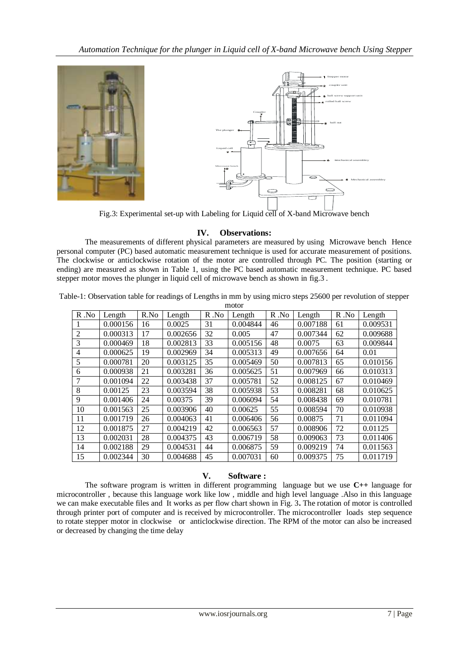

Fig.3: Experimental set-up with Labeling for Liquid cell of X-band Microwave bench

### **IV. Observations:**

The measurements of different physical parameters are measured by using Microwave bench Hence personal computer (PC) based automatic measurement technique is used for accurate measurement of positions. The clockwise or anticlockwise rotation of the motor are controlled through PC. The position (starting or ending) are measured as shown in Table 1, using the PC based automatic measurement technique. PC based stepper motor moves the plunger in liquid cell of microwave bench as shown in fig.3 .

| motor          |          |      |          |          |          |          |          |      |          |
|----------------|----------|------|----------|----------|----------|----------|----------|------|----------|
| $R$ . No       | Length   | R.No | Length   | $R$ . No | Length   | $R$ . No | Length   | R.No | Length   |
| 1              | 0.000156 | 16   | 0.0025   | 31       | 0.004844 | 46       | 0.007188 | 61   | 0.009531 |
| $\overline{2}$ | 0.000313 | 17   | 0.002656 | 32       | 0.005    | 47       | 0.007344 | 62   | 0.009688 |
| 3              | 0.000469 | 18   | 0.002813 | 33       | 0.005156 | 48       | 0.0075   | 63   | 0.009844 |
| 4              | 0.000625 | 19   | 0.002969 | 34       | 0.005313 | 49       | 0.007656 | 64   | 0.01     |
| 5              | 0.000781 | 20   | 0.003125 | 35       | 0.005469 | 50       | 0.007813 | 65   | 0.010156 |
| 6              | 0.000938 | 21   | 0.003281 | 36       | 0.005625 | 51       | 0.007969 | 66   | 0.010313 |
| 7              | 0.001094 | 22   | 0.003438 | 37       | 0.005781 | 52       | 0.008125 | 67   | 0.010469 |
| 8              | 0.00125  | 23   | 0.003594 | 38       | 0.005938 | 53       | 0.008281 | 68   | 0.010625 |
| 9              | 0.001406 | 24   | 0.00375  | 39       | 0.006094 | 54       | 0.008438 | 69   | 0.010781 |
| 10             | 0.001563 | 25   | 0.003906 | 40       | 0.00625  | 55       | 0.008594 | 70   | 0.010938 |
| 11             | 0.001719 | 26   | 0.004063 | 41       | 0.006406 | 56       | 0.00875  | 71   | 0.011094 |
| 12             | 0.001875 | 27   | 0.004219 | 42       | 0.006563 | 57       | 0.008906 | 72   | 0.01125  |
| 13             | 0.002031 | 28   | 0.004375 | 43       | 0.006719 | 58       | 0.009063 | 73   | 0.011406 |
| 14             | 0.002188 | 29   | 0.004531 | 44       | 0.006875 | 59       | 0.009219 | 74   | 0.011563 |
| 15             | 0.002344 | 30   | 0.004688 | 45       | 0.007031 | 60       | 0.009375 | 75   | 0.011719 |

Table-1: Observation table for readings of Lengths in mm by using micro steps 25600 per revolution of stepper

## **V. Software :**

The software program is written in different programming language but we use **C++** language for microcontroller , because this language work like low , middle and high level language .Also in this language we can make executable files and It works as per flow chart shown in Fig. 3**.** The rotation of motor is controlled through printer port of computer and is received by microcontroller. The microcontroller loads step sequence to rotate stepper motor in clockwise or anticlockwise direction. The RPM of the motor can also be increased or decreased by changing the time delay